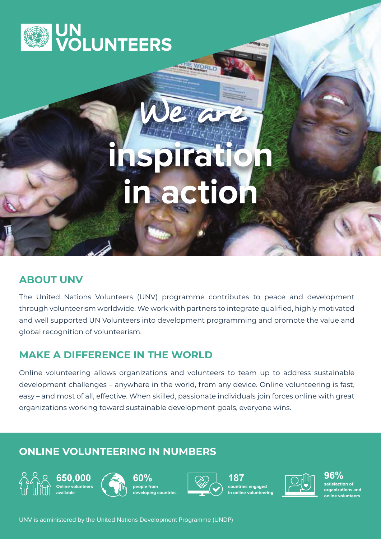

# hspiratio<br>In action

WORL

na cui

### **ABOUT UNV**

The United Nations Volunteers (UNV) programme contributes to peace and development through volunteerism worldwide. We work with partners to integrate qualified, highly motivated and well supported UN Volunteers into development programming and promote the value and global recognition of volunteerism.

### **MAKE A DIFFERENCE IN THE WORLD**

Online volunteering allows organizations and volunteers to team up to address sustainable development challenges – anywhere in the world, from any device. Online volunteering is fast, easy – and most of all, effective. When skilled, passionate individuals join forces online with great organizations working toward sustainable development goals, everyone wins.

## **ONLINE VOLUNTEERING IN NUMBERS**





**60% people from developing countries**



**187 countries engaged in online volunteering** 



**96% satisfaction of organizations and online volunteers**

UNV is administered by the United Nations Development Programme (UNDP)